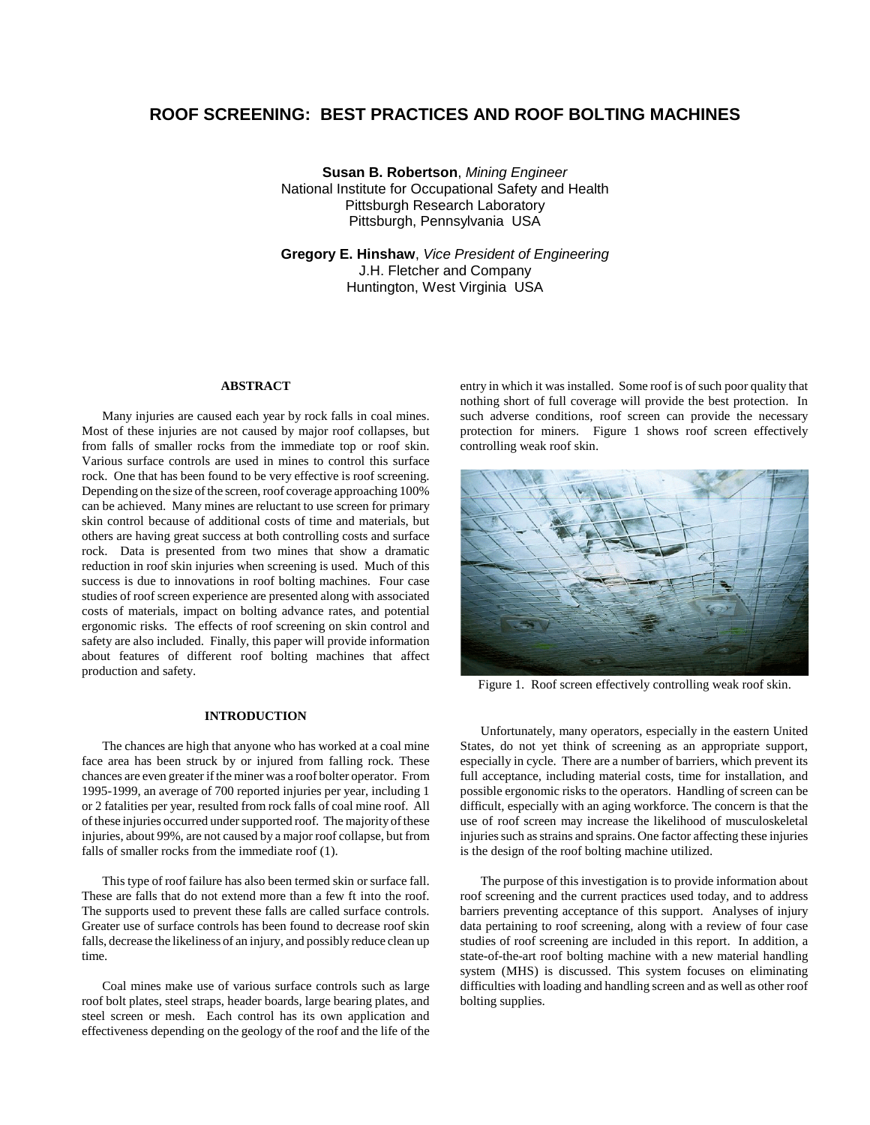# **ROOF SCREENING: BEST PRACTICES AND ROOF BOLTING MACHINES**

**Susan B. Robertson**, *Mining Engineer* National Institute for Occupational Safety and Health Pittsburgh Research Laboratory Pittsburgh, Pennsylvania USA

**Gregory E. Hinshaw**, *Vice President of Engineering* J.H. Fletcher and Company Huntington, West Virginia USA

#### **ABSTRACT**

Many injuries are caused each year by rock falls in coal mines. Most of these injuries are not caused by major roof collapses, but from falls of smaller rocks from the immediate top or roof skin. Various surface controls are used in mines to control this surface rock. One that has been found to be very effective is roof screening. Depending on the size of the screen, roof coverage approaching 100% can be achieved. Many mines are reluctant to use screen for primary skin control because of additional costs of time and materials, but others are having great success at both controlling costs and surface rock. Data is presented from two mines that show a dramatic reduction in roof skin injuries when screening is used. Much of this success is due to innovations in roof bolting machines. Four case studies of roof screen experience are presented along with associated costs of materials, impact on bolting advance rates, and potential ergonomic risks. The effects of roof screening on skin control and safety are also included. Finally, this paper will provide information about features of different roof bolting machines that affect production and safety.

#### **INTRODUCTION**

The chances are high that anyone who has worked at a coal mine face area has been struck by or injured from falling rock. These chances are even greater if the miner was a roof bolter operator. From 1995-1999, an average of 700 reported injuries per year, including 1 or 2 fatalities per year, resulted from rock falls of coal mine roof. All of these injuries occurred under supported roof. The majority of these injuries, about 99%, are not caused by a major roof collapse, but from falls of smaller rocks from the immediate roof (1).

This type of roof failure has also been termed skin or surface fall. These are falls that do not extend more than a few ft into the roof. The supports used to prevent these falls are called surface controls. Greater use of surface controls has been found to decrease roof skin falls, decrease the likeliness of an injury, and possibly reduce clean up time.

Coal mines make use of various surface controls such as large roof bolt plates, steel straps, header boards, large bearing plates, and steel screen or mesh. Each control has its own application and effectiveness depending on the geology of the roof and the life of the entry in which it was installed. Some roof is of such poor quality that nothing short of full coverage will provide the best protection. In such adverse conditions, roof screen can provide the necessary protection for miners. Figure 1 shows roof screen effectively controlling weak roof skin.



Figure 1. Roof screen effectively controlling weak roof skin.

Unfortunately, many operators, especially in the eastern United States, do not yet think of screening as an appropriate support, especially in cycle. There are a number of barriers, which prevent its full acceptance, including material costs, time for installation, and possible ergonomic risks to the operators. Handling of screen can be difficult, especially with an aging workforce. The concern is that the use of roof screen may increase the likelihood of musculoskeletal injuries such as strains and sprains. One factor affecting these injuries is the design of the roof bolting machine utilized.

The purpose of this investigation is to provide information about roof screening and the current practices used today, and to address barriers preventing acceptance of this support. Analyses of injury data pertaining to roof screening, along with a review of four case studies of roof screening are included in this report. In addition, a state-of-the-art roof bolting machine with a new material handling system (MHS) is discussed. This system focuses on eliminating difficulties with loading and handling screen and as well as other roof bolting supplies.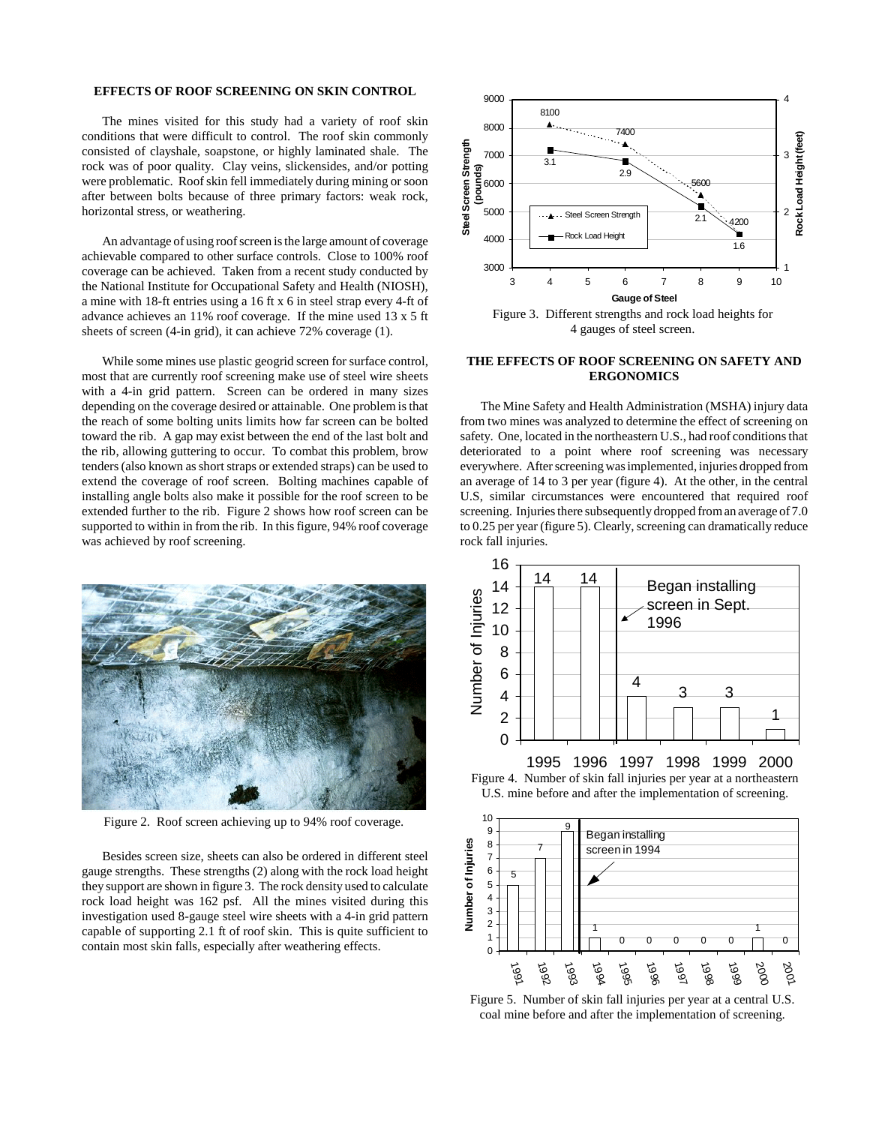# **EFFECTS OF ROOF SCREENING ON SKIN CONTROL**

The mines visited for this study had a variety of roof skin conditions that were difficult to control. The roof skin commonly consisted of clayshale, soapstone, or highly laminated shale. The rock was of poor quality. Clay veins, slickensides, and/or potting were problematic. Roof skin fell immediately during mining or soon after between bolts because of three primary factors: weak rock, horizontal stress, or weathering.

An advantage of using roof screen is the large amount of coverage achievable compared to other surface controls. Close to 100% roof coverage can be achieved. Taken from a recent study conducted by the National Institute for Occupational Safety and Health (NIOSH), a mine with 18-ft entries using a 16 ft x 6 in steel strap every 4-ft of advance achieves an 11% roof coverage. If the mine used 13 x 5 ft sheets of screen (4-in grid), it can achieve 72% coverage (1).

While some mines use plastic geogrid screen for surface control, most that are currently roof screening make use of steel wire sheets with a 4-in grid pattern. Screen can be ordered in many sizes depending on the coverage desired or attainable. One problem is that the reach of some bolting units limits how far screen can be bolted toward the rib. A gap may exist between the end of the last bolt and the rib, allowing guttering to occur. To combat this problem, brow tenders (also known as short straps or extended straps) can be used to extend the coverage of roof screen. Bolting machines capable of installing angle bolts also make it possible for the roof screen to be extended further to the rib. Figure 2 shows how roof screen can be supported to within in from the rib. In this figure, 94% roof coverage was achieved by roof screening.



Figure 2. Roof screen achieving up to 94% roof coverage.

Besides screen size, sheets can also be ordered in different steel gauge strengths. These strengths (2) along with the rock load height they support are shown in figure 3. The rock density used to calculate rock load height was 162 psf. All the mines visited during this investigation used 8-gauge steel wire sheets with a 4-in grid pattern capable of supporting 2.1 ft of roof skin. This is quite sufficient to contain most skin falls, especially after weathering effects.



### **THE EFFECTS OF ROOF SCREENING ON SAFETY AND ERGONOMICS**

The Mine Safety and Health Administration (MSHA) injury data from two mines was analyzed to determine the effect of screening on safety. One, located in the northeastern U.S., had roof conditions that deteriorated to a point where roof screening was necessary everywhere. After screening was implemented, injuries dropped from an average of 14 to 3 per year (figure 4). At the other, in the central U.S, similar circumstances were encountered that required roof screening. Injuries there subsequently dropped from an average of 7.0 to 0.25 per year (figure 5). Clearly, screening can dramatically reduce rock fall injuries.



1995 1996 1997 1998 1999 2000





Figure 5. Number of skin fall injuries per year at a central U.S. coal mine before and after the implementation of screening.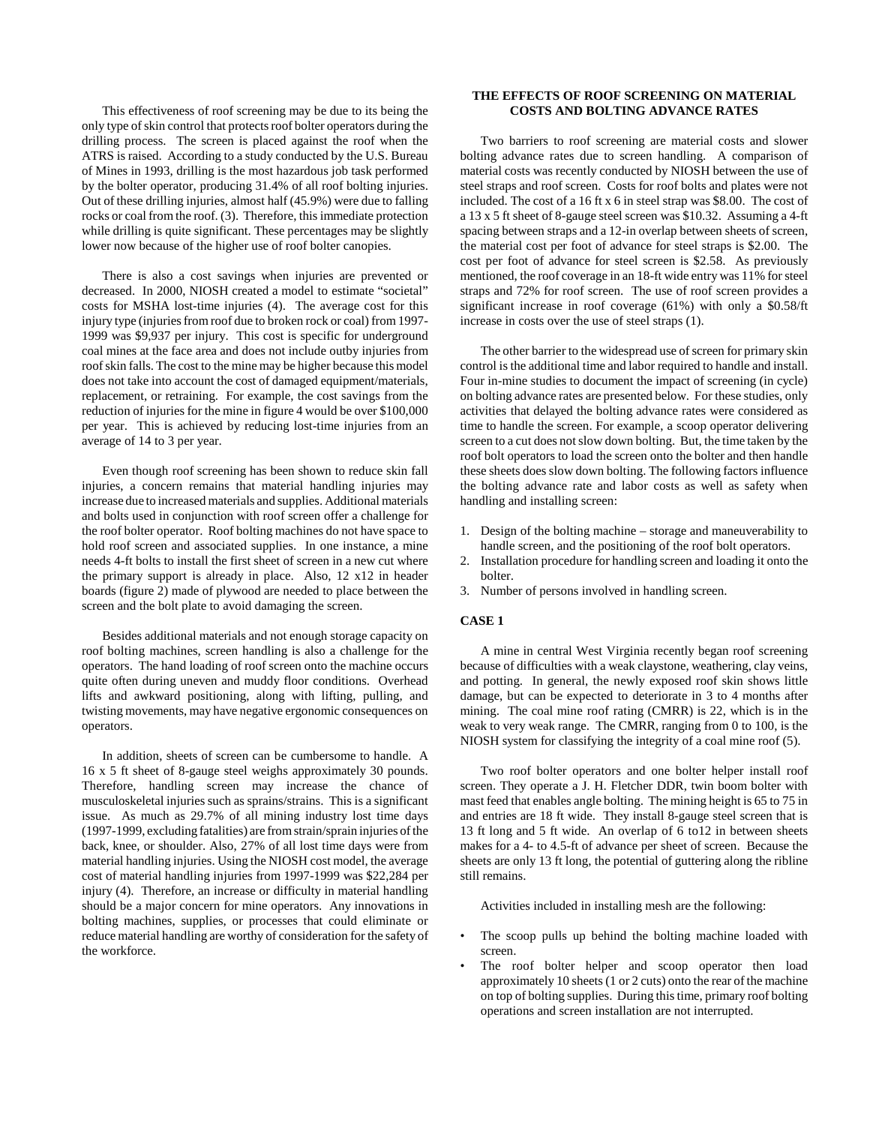This effectiveness of roof screening may be due to its being the only type of skin control that protects roof bolter operators during the drilling process. The screen is placed against the roof when the ATRS is raised. According to a study conducted by the U.S. Bureau of Mines in 1993, drilling is the most hazardous job task performed by the bolter operator, producing 31.4% of all roof bolting injuries. Out of these drilling injuries, almost half (45.9%) were due to falling rocks or coal from the roof. (3). Therefore, this immediate protection while drilling is quite significant. These percentages may be slightly lower now because of the higher use of roof bolter canopies.

There is also a cost savings when injuries are prevented or decreased. In 2000, NIOSH created a model to estimate "societal" costs for MSHA lost-time injuries (4). The average cost for this injury type (injuries from roof due to broken rock or coal) from 1997- 1999 was \$9,937 per injury. This cost is specific for underground coal mines at the face area and does not include outby injuries from roof skin falls. The cost to the mine may be higher because this model does not take into account the cost of damaged equipment/materials, replacement, or retraining. For example, the cost savings from the reduction of injuries for the mine in figure 4 would be over \$100,000 per year. This is achieved by reducing lost-time injuries from an average of 14 to 3 per year.

Even though roof screening has been shown to reduce skin fall injuries, a concern remains that material handling injuries may increase due to increased materials and supplies. Additional materials and bolts used in conjunction with roof screen offer a challenge for the roof bolter operator. Roof bolting machines do not have space to hold roof screen and associated supplies. In one instance, a mine needs 4-ft bolts to install the first sheet of screen in a new cut where the primary support is already in place. Also, 12 x12 in header boards (figure 2) made of plywood are needed to place between the screen and the bolt plate to avoid damaging the screen.

Besides additional materials and not enough storage capacity on roof bolting machines, screen handling is also a challenge for the operators. The hand loading of roof screen onto the machine occurs quite often during uneven and muddy floor conditions. Overhead lifts and awkward positioning, along with lifting, pulling, and twisting movements, may have negative ergonomic consequences on operators.

In addition, sheets of screen can be cumbersome to handle. A 16 x 5 ft sheet of 8-gauge steel weighs approximately 30 pounds. Therefore, handling screen may increase the chance of musculoskeletal injuries such as sprains/strains. This is a significant issue. As much as 29.7% of all mining industry lost time days (1997-1999, excluding fatalities) are from strain/sprain injuries of the back, knee, or shoulder. Also, 27% of all lost time days were from material handling injuries. Using the NIOSH cost model, the average cost of material handling injuries from 1997-1999 was \$22,284 per injury (4). Therefore, an increase or difficulty in material handling should be a major concern for mine operators. Any innovations in bolting machines, supplies, or processes that could eliminate or reduce material handling are worthy of consideration for the safety of the workforce.

# **THE EFFECTS OF ROOF SCREENING ON MATERIAL COSTS AND BOLTING ADVANCE RATES**

Two barriers to roof screening are material costs and slower bolting advance rates due to screen handling. A comparison of material costs was recently conducted by NIOSH between the use of steel straps and roof screen. Costs for roof bolts and plates were not included. The cost of a 16 ft x 6 in steel strap was \$8.00. The cost of a 13 x 5 ft sheet of 8-gauge steel screen was \$10.32. Assuming a 4-ft spacing between straps and a 12-in overlap between sheets of screen, the material cost per foot of advance for steel straps is \$2.00. The cost per foot of advance for steel screen is \$2.58. As previously mentioned, the roof coverage in an 18-ft wide entry was 11% for steel straps and 72% for roof screen. The use of roof screen provides a significant increase in roof coverage (61%) with only a \$0.58/ft increase in costs over the use of steel straps (1).

The other barrier to the widespread use of screen for primary skin control is the additional time and labor required to handle and install. Four in-mine studies to document the impact of screening (in cycle) on bolting advance rates are presented below. For these studies, only activities that delayed the bolting advance rates were considered as time to handle the screen. For example, a scoop operator delivering screen to a cut does not slow down bolting. But, the time taken by the roof bolt operators to load the screen onto the bolter and then handle these sheets does slow down bolting. The following factors influence the bolting advance rate and labor costs as well as safety when handling and installing screen:

- 1. Design of the bolting machine storage and maneuverability to handle screen, and the positioning of the roof bolt operators.
- 2. Installation procedure for handling screen and loading it onto the bolter.
- 3. Number of persons involved in handling screen.

#### **CASE 1**

A mine in central West Virginia recently began roof screening because of difficulties with a weak claystone, weathering, clay veins, and potting. In general, the newly exposed roof skin shows little damage, but can be expected to deteriorate in 3 to 4 months after mining. The coal mine roof rating (CMRR) is 22, which is in the weak to very weak range. The CMRR, ranging from 0 to 100, is the NIOSH system for classifying the integrity of a coal mine roof (5).

Two roof bolter operators and one bolter helper install roof screen. They operate a J. H. Fletcher DDR, twin boom bolter with mast feed that enables angle bolting. The mining height is 65 to 75 in and entries are 18 ft wide. They install 8-gauge steel screen that is 13 ft long and 5 ft wide. An overlap of 6 to12 in between sheets makes for a 4- to 4.5-ft of advance per sheet of screen. Because the sheets are only 13 ft long, the potential of guttering along the ribline still remains.

Activities included in installing mesh are the following:

- The scoop pulls up behind the bolting machine loaded with screen.
- The roof bolter helper and scoop operator then load approximately 10 sheets (1 or 2 cuts) onto the rear of the machine on top of bolting supplies. During this time, primary roof bolting operations and screen installation are not interrupted.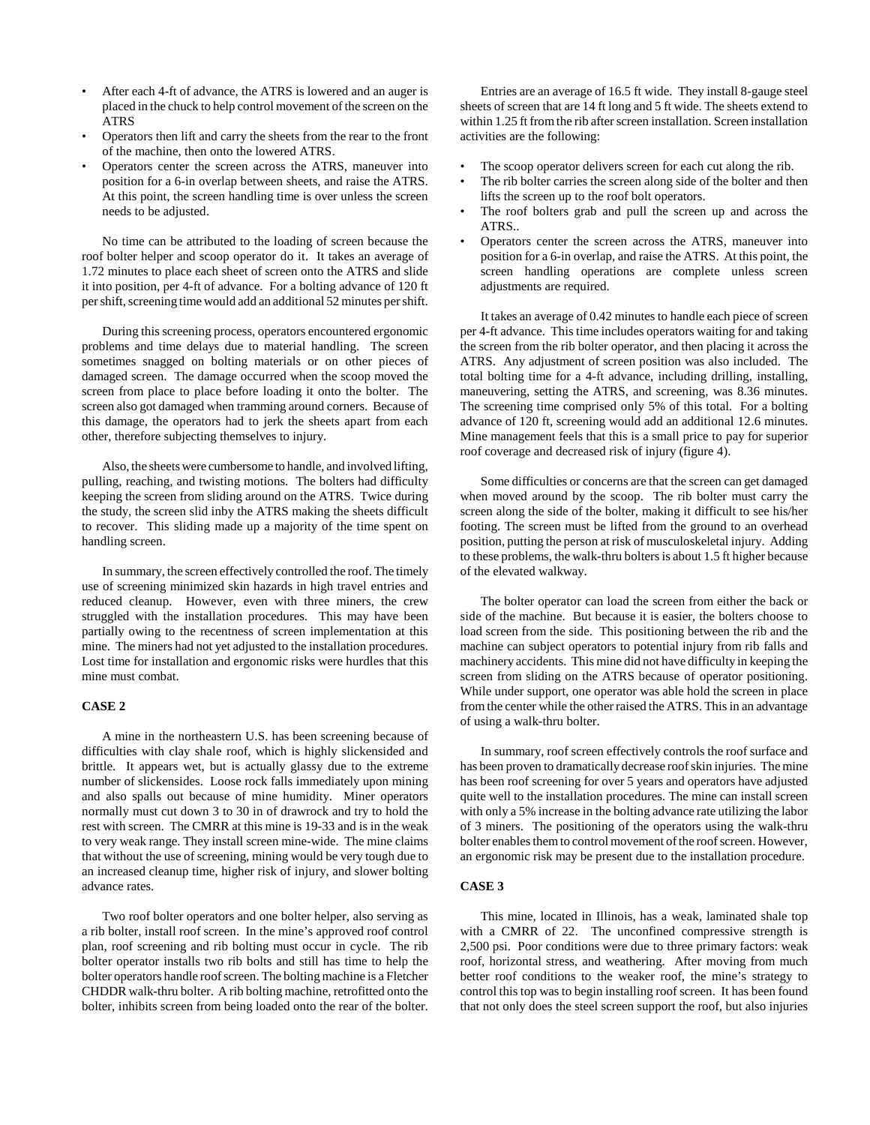- After each 4-ft of advance, the ATRS is lowered and an auger is placed in the chuck to help control movement of the screen on the ATRS
- Operators then lift and carry the sheets from the rear to the front of the machine, then onto the lowered ATRS.
- Operators center the screen across the ATRS, maneuver into position for a 6-in overlap between sheets, and raise the ATRS. At this point, the screen handling time is over unless the screen needs to be adjusted.

No time can be attributed to the loading of screen because the roof bolter helper and scoop operator do it. It takes an average of 1.72 minutes to place each sheet of screen onto the ATRS and slide it into position, per 4-ft of advance. For a bolting advance of 120 ft per shift, screening time would add an additional 52 minutes per shift.

During this screening process, operators encountered ergonomic problems and time delays due to material handling. The screen sometimes snagged on bolting materials or on other pieces of damaged screen. The damage occurred when the scoop moved the screen from place to place before loading it onto the bolter. The screen also got damaged when tramming around corners. Because of this damage, the operators had to jerk the sheets apart from each other, therefore subjecting themselves to injury.

Also, the sheets were cumbersome to handle, and involved lifting, pulling, reaching, and twisting motions. The bolters had difficulty keeping the screen from sliding around on the ATRS. Twice during the study, the screen slid inby the ATRS making the sheets difficult to recover. This sliding made up a majority of the time spent on handling screen.

In summary, the screen effectively controlled the roof. The timely use of screening minimized skin hazards in high travel entries and reduced cleanup. However, even with three miners, the crew struggled with the installation procedures. This may have been partially owing to the recentness of screen implementation at this mine. The miners had not yet adjusted to the installation procedures. Lost time for installation and ergonomic risks were hurdles that this mine must combat.

#### **CASE 2**

A mine in the northeastern U.S. has been screening because of difficulties with clay shale roof, which is highly slickensided and brittle. It appears wet, but is actually glassy due to the extreme number of slickensides. Loose rock falls immediately upon mining and also spalls out because of mine humidity. Miner operators normally must cut down 3 to 30 in of drawrock and try to hold the rest with screen. The CMRR at this mine is 19-33 and is in the weak to very weak range. They install screen mine-wide. The mine claims that without the use of screening, mining would be very tough due to an increased cleanup time, higher risk of injury, and slower bolting advance rates.

Two roof bolter operators and one bolter helper, also serving as a rib bolter, install roof screen. In the mine's approved roof control plan, roof screening and rib bolting must occur in cycle. The rib bolter operator installs two rib bolts and still has time to help the bolter operators handle roof screen. The bolting machine is a Fletcher CHDDR walk-thru bolter. A rib bolting machine, retrofitted onto the bolter, inhibits screen from being loaded onto the rear of the bolter.

Entries are an average of 16.5 ft wide. They install 8-gauge steel sheets of screen that are 14 ft long and 5 ft wide. The sheets extend to within 1.25 ft from the rib after screen installation. Screen installation activities are the following:

- The scoop operator delivers screen for each cut along the rib.
- The rib bolter carries the screen along side of the bolter and then lifts the screen up to the roof bolt operators.
- The roof bolters grab and pull the screen up and across the ATRS..
- Operators center the screen across the ATRS, maneuver into position for a 6-in overlap, and raise the ATRS. At this point, the screen handling operations are complete unless screen adjustments are required.

It takes an average of 0.42 minutes to handle each piece of screen per 4-ft advance. This time includes operators waiting for and taking the screen from the rib bolter operator, and then placing it across the ATRS. Any adjustment of screen position was also included. The total bolting time for a 4-ft advance, including drilling, installing, maneuvering, setting the ATRS, and screening, was 8.36 minutes. The screening time comprised only 5% of this total. For a bolting advance of 120 ft, screening would add an additional 12.6 minutes. Mine management feels that this is a small price to pay for superior roof coverage and decreased risk of injury (figure 4).

Some difficulties or concerns are that the screen can get damaged when moved around by the scoop. The rib bolter must carry the screen along the side of the bolter, making it difficult to see his/her footing. The screen must be lifted from the ground to an overhead position, putting the person at risk of musculoskeletal injury. Adding to these problems, the walk-thru bolters is about 1.5 ft higher because of the elevated walkway.

The bolter operator can load the screen from either the back or side of the machine. But because it is easier, the bolters choose to load screen from the side. This positioning between the rib and the machine can subject operators to potential injury from rib falls and machinery accidents. This mine did not have difficulty in keeping the screen from sliding on the ATRS because of operator positioning. While under support, one operator was able hold the screen in place from the center while the other raised the ATRS. This in an advantage of using a walk-thru bolter.

In summary, roof screen effectively controls the roof surface and has been proven to dramatically decrease roof skin injuries. The mine has been roof screening for over 5 years and operators have adjusted quite well to the installation procedures. The mine can install screen with only a 5% increase in the bolting advance rate utilizing the labor of 3 miners. The positioning of the operators using the walk-thru bolter enables them to control movement of the roof screen. However, an ergonomic risk may be present due to the installation procedure.

## **CASE 3**

This mine, located in Illinois, has a weak, laminated shale top with a CMRR of 22. The unconfined compressive strength is 2,500 psi. Poor conditions were due to three primary factors: weak roof, horizontal stress, and weathering. After moving from much better roof conditions to the weaker roof, the mine's strategy to control this top was to begin installing roof screen. It has been found that not only does the steel screen support the roof, but also injuries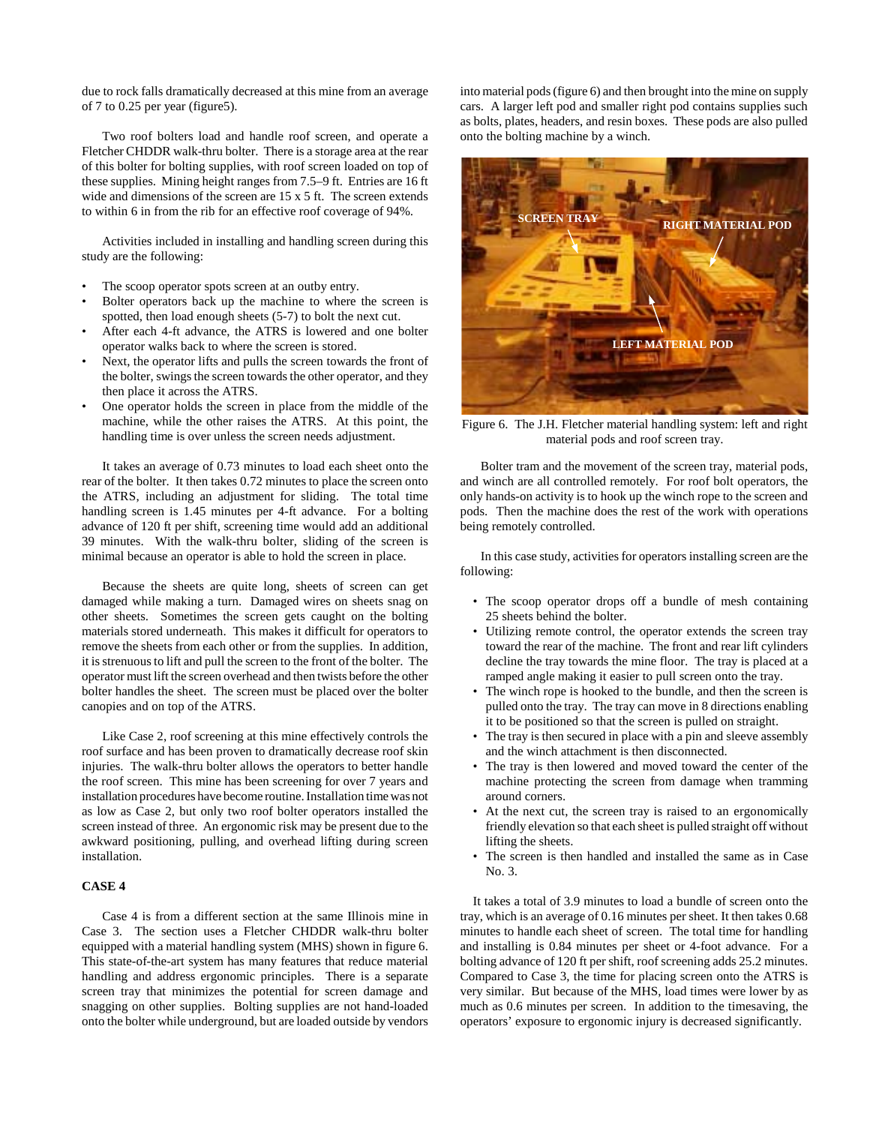due to rock falls dramatically decreased at this mine from an average of 7 to 0.25 per year (figure5).

Two roof bolters load and handle roof screen, and operate a Fletcher CHDDR walk-thru bolter. There is a storage area at the rear of this bolter for bolting supplies, with roof screen loaded on top of these supplies. Mining height ranges from 7.5–9 ft. Entries are 16 ft wide and dimensions of the screen are 15 x 5 ft. The screen extends to within 6 in from the rib for an effective roof coverage of 94%.

Activities included in installing and handling screen during this study are the following:

- The scoop operator spots screen at an outby entry.
- Bolter operators back up the machine to where the screen is spotted, then load enough sheets (5-7) to bolt the next cut.
- After each 4-ft advance, the ATRS is lowered and one bolter operator walks back to where the screen is stored.
- Next, the operator lifts and pulls the screen towards the front of the bolter, swings the screen towards the other operator, and they then place it across the ATRS.
- One operator holds the screen in place from the middle of the machine, while the other raises the ATRS. At this point, the handling time is over unless the screen needs adjustment.

It takes an average of 0.73 minutes to load each sheet onto the rear of the bolter. It then takes 0.72 minutes to place the screen onto the ATRS, including an adjustment for sliding. The total time handling screen is 1.45 minutes per 4-ft advance. For a bolting advance of 120 ft per shift, screening time would add an additional 39 minutes. With the walk-thru bolter, sliding of the screen is minimal because an operator is able to hold the screen in place.

Because the sheets are quite long, sheets of screen can get damaged while making a turn. Damaged wires on sheets snag on other sheets. Sometimes the screen gets caught on the bolting materials stored underneath. This makes it difficult for operators to remove the sheets from each other or from the supplies. In addition, it is strenuous to lift and pull the screen to the front of the bolter. The operator must lift the screen overhead and then twists before the other bolter handles the sheet. The screen must be placed over the bolter canopies and on top of the ATRS.

Like Case 2, roof screening at this mine effectively controls the roof surface and has been proven to dramatically decrease roof skin injuries. The walk-thru bolter allows the operators to better handle the roof screen. This mine has been screening for over 7 years and installation procedures have become routine. Installation time was not as low as Case 2, but only two roof bolter operators installed the screen instead of three. An ergonomic risk may be present due to the awkward positioning, pulling, and overhead lifting during screen installation.

# **CASE 4**

Case 4 is from a different section at the same Illinois mine in Case 3. The section uses a Fletcher CHDDR walk-thru bolter equipped with a material handling system (MHS) shown in figure 6. This state-of-the-art system has many features that reduce material handling and address ergonomic principles. There is a separate screen tray that minimizes the potential for screen damage and snagging on other supplies. Bolting supplies are not hand-loaded onto the bolter while underground, but are loaded outside by vendors into material pods (figure 6) and then brought into the mine on supply cars. A larger left pod and smaller right pod contains supplies such as bolts, plates, headers, and resin boxes. These pods are also pulled onto the bolting machine by a winch.



Figure 6. The J.H. Fletcher material handling system: left and right material pods and roof screen tray.

Bolter tram and the movement of the screen tray, material pods, and winch are all controlled remotely. For roof bolt operators, the only hands-on activity is to hook up the winch rope to the screen and pods. Then the machine does the rest of the work with operations being remotely controlled.

In this case study, activities for operators installing screen are the following:

- The scoop operator drops off a bundle of mesh containing 25 sheets behind the bolter.
- Utilizing remote control, the operator extends the screen tray toward the rear of the machine. The front and rear lift cylinders decline the tray towards the mine floor. The tray is placed at a ramped angle making it easier to pull screen onto the tray.
- The winch rope is hooked to the bundle, and then the screen is pulled onto the tray. The tray can move in 8 directions enabling it to be positioned so that the screen is pulled on straight.
- The tray is then secured in place with a pin and sleeve assembly and the winch attachment is then disconnected.
- The tray is then lowered and moved toward the center of the machine protecting the screen from damage when tramming around corners.
- At the next cut, the screen tray is raised to an ergonomically friendly elevation so that each sheet is pulled straight off without lifting the sheets.
- The screen is then handled and installed the same as in Case No. 3.

It takes a total of 3.9 minutes to load a bundle of screen onto the tray, which is an average of 0.16 minutes per sheet. It then takes 0.68 minutes to handle each sheet of screen. The total time for handling and installing is 0.84 minutes per sheet or 4-foot advance. For a bolting advance of 120 ft per shift, roof screening adds 25.2 minutes. Compared to Case 3, the time for placing screen onto the ATRS is very similar. But because of the MHS, load times were lower by as much as 0.6 minutes per screen. In addition to the timesaving, the operators' exposure to ergonomic injury is decreased significantly.